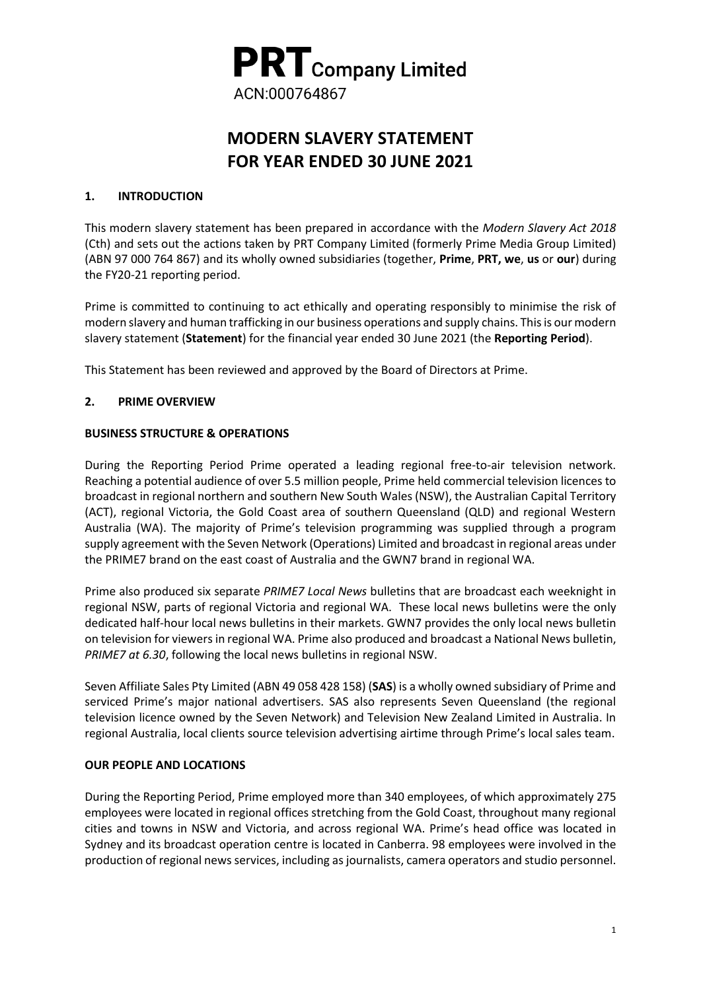

# **MODERN SLAVERY STATEMENT FOR YEAR ENDED 30 JUNE 2021**

## **1. INTRODUCTION**

This modern slavery statement has been prepared in accordance with the *Modern Slavery Act 2018* (Cth) and sets out the actions taken by PRT Company Limited (formerly Prime Media Group Limited) (ABN 97 000 764 867) and its wholly owned subsidiaries (together, **Prime**, **PRT, we**, **us** or **our**) during the FY20-21 reporting period.

Prime is committed to continuing to act ethically and operating responsibly to minimise the risk of modern slavery and human trafficking in our business operations and supply chains. This is our modern slavery statement (**Statement**) for the financial year ended 30 June 2021 (the **Reporting Period**).

This Statement has been reviewed and approved by the Board of Directors at Prime.

## **2. PRIME OVERVIEW**

#### **BUSINESS STRUCTURE & OPERATIONS**

During the Reporting Period Prime operated a leading regional free-to-air television network. Reaching a potential audience of over 5.5 million people, Prime held commercial television licences to broadcast in regional northern and southern New South Wales (NSW), the Australian Capital Territory (ACT), regional Victoria, the Gold Coast area of southern Queensland (QLD) and regional Western Australia (WA). The majority of Prime's television programming was supplied through a program supply agreement with the Seven Network (Operations) Limited and broadcast in regional areas under the PRIME7 brand on the east coast of Australia and the GWN7 brand in regional WA.

Prime also produced six separate *PRIME7 Local News* bulletins that are broadcast each weeknight in regional NSW, parts of regional Victoria and regional WA. These local news bulletins were the only dedicated half-hour local news bulletins in their markets. GWN7 provides the only local news bulletin on television for viewers in regional WA. Prime also produced and broadcast a National News bulletin, *PRIME7 at 6.30*, following the local news bulletins in regional NSW.

Seven Affiliate Sales Pty Limited (ABN 49 058 428 158) (**SAS**) is a wholly owned subsidiary of Prime and serviced Prime's major national advertisers. SAS also represents Seven Queensland (the regional television licence owned by the Seven Network) and Television New Zealand Limited in Australia. In regional Australia, local clients source television advertising airtime through Prime's local sales team.

#### **OUR PEOPLE AND LOCATIONS**

During the Reporting Period, Prime employed more than 340 employees, of which approximately 275 employees were located in regional offices stretching from the Gold Coast, throughout many regional cities and towns in NSW and Victoria, and across regional WA. Prime's head office was located in Sydney and its broadcast operation centre is located in Canberra. 98 employees were involved in the production of regional news services, including as journalists, camera operators and studio personnel.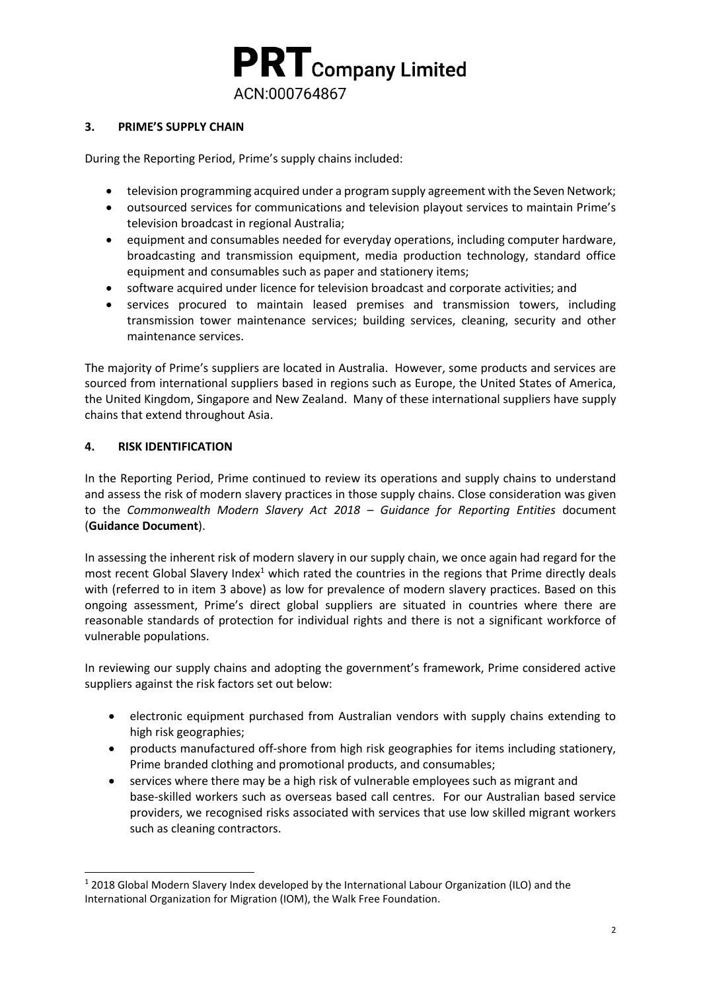

## **3. PRIME'S SUPPLY CHAIN**

During the Reporting Period, Prime's supply chains included:

- television programming acquired under a program supply agreement with the Seven Network;
- outsourced services for communications and television playout services to maintain Prime's television broadcast in regional Australia;
- equipment and consumables needed for everyday operations, including computer hardware, broadcasting and transmission equipment, media production technology, standard office equipment and consumables such as paper and stationery items;
- software acquired under licence for television broadcast and corporate activities; and
- services procured to maintain leased premises and transmission towers, including transmission tower maintenance services; building services, cleaning, security and other maintenance services.

The majority of Prime's suppliers are located in Australia. However, some products and services are sourced from international suppliers based in regions such as Europe, the United States of America, the United Kingdom, Singapore and New Zealand. Many of these international suppliers have supply chains that extend throughout Asia.

## **4. RISK IDENTIFICATION**

1

In the Reporting Period, Prime continued to review its operations and supply chains to understand and assess the risk of modern slavery practices in those supply chains. Close consideration was given to the *Commonwealth Modern Slavery Act 2018 – Guidance for Reporting Entities* document (**Guidance Document**).

In assessing the inherent risk of modern slavery in our supply chain, we once again had regard for the most recent Global Slavery Index<sup>1</sup> which rated the countries in the regions that Prime directly deals with (referred to in item 3 above) as low for prevalence of modern slavery practices. Based on this ongoing assessment, Prime's direct global suppliers are situated in countries where there are reasonable standards of protection for individual rights and there is not a significant workforce of vulnerable populations.

In reviewing our supply chains and adopting the government's framework, Prime considered active suppliers against the risk factors set out below:

- electronic equipment purchased from Australian vendors with supply chains extending to high risk geographies;
- products manufactured off-shore from high risk geographies for items including stationery, Prime branded clothing and promotional products, and consumables;
- services where there may be a high risk of vulnerable employees such as migrant and base-skilled workers such as overseas based call centres. For our Australian based service providers, we recognised risks associated with services that use low skilled migrant workers such as cleaning contractors.

<sup>1</sup> 2018 Global Modern Slavery Index developed by the International Labour Organization (ILO) and the International Organization for Migration (IOM), the Walk Free Foundation.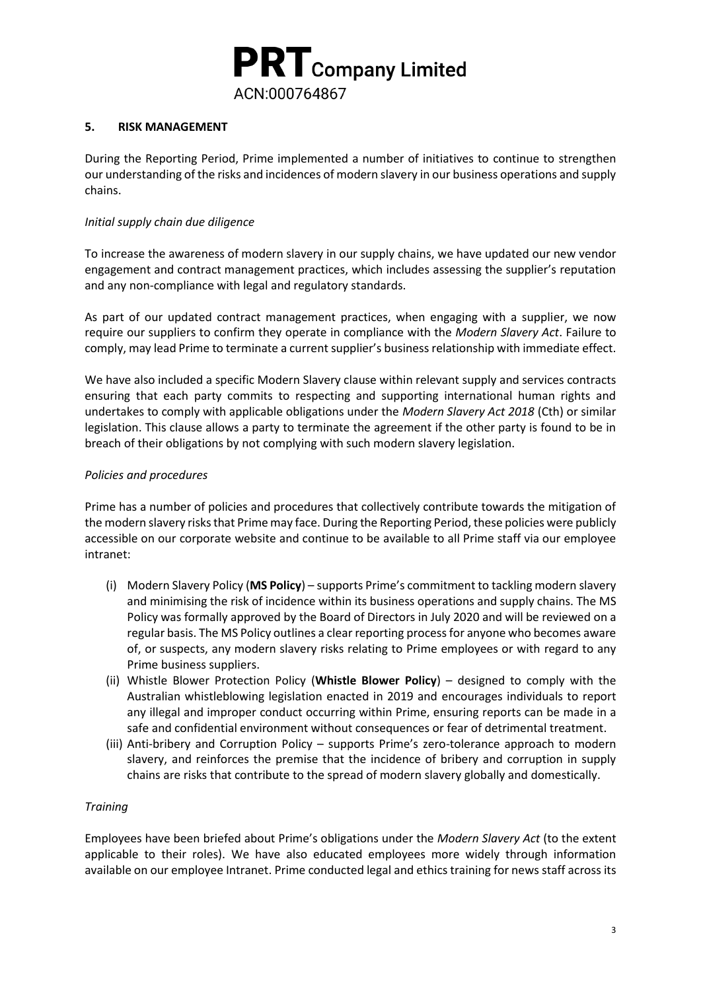

## **5. RISK MANAGEMENT**

During the Reporting Period, Prime implemented a number of initiatives to continue to strengthen our understanding of the risks and incidences of modern slavery in our business operations and supply chains.

## *Initial supply chain due diligence*

To increase the awareness of modern slavery in our supply chains, we have updated our new vendor engagement and contract management practices, which includes assessing the supplier's reputation and any non-compliance with legal and regulatory standards.

As part of our updated contract management practices, when engaging with a supplier, we now require our suppliers to confirm they operate in compliance with the *Modern Slavery Act*. Failure to comply, may lead Prime to terminate a current supplier's business relationship with immediate effect.

We have also included a specific Modern Slavery clause within relevant supply and services contracts ensuring that each party commits to respecting and supporting international human rights and undertakes to comply with applicable obligations under the *Modern Slavery Act 2018* (Cth) or similar legislation. This clause allows a party to terminate the agreement if the other party is found to be in breach of their obligations by not complying with such modern slavery legislation.

## *Policies and procedures*

Prime has a number of policies and procedures that collectively contribute towards the mitigation of the modern slavery risks that Prime may face. During the Reporting Period, these policies were publicly accessible on our corporate website and continue to be available to all Prime staff via our employee intranet:

- (i) Modern Slavery Policy (**MS Policy**) supports Prime's commitment to tackling modern slavery and minimising the risk of incidence within its business operations and supply chains. The MS Policy was formally approved by the Board of Directors in July 2020 and will be reviewed on a regular basis. The MS Policy outlines a clear reporting process for anyone who becomes aware of, or suspects, any modern slavery risks relating to Prime employees or with regard to any Prime business suppliers.
- (ii) Whistle Blower Protection Policy (**Whistle Blower Policy**) designed to comply with the Australian whistleblowing legislation enacted in 2019 and encourages individuals to report any illegal and improper conduct occurring within Prime, ensuring reports can be made in a safe and confidential environment without consequences or fear of detrimental treatment.
- (iii) Anti-bribery and Corruption Policy supports Prime's zero-tolerance approach to modern slavery, and reinforces the premise that the incidence of bribery and corruption in supply chains are risks that contribute to the spread of modern slavery globally and domestically.

#### *Training*

Employees have been briefed about Prime's obligations under the *Modern Slavery Act* (to the extent applicable to their roles). We have also educated employees more widely through information available on our employee Intranet. Prime conducted legal and ethics training for news staff across its